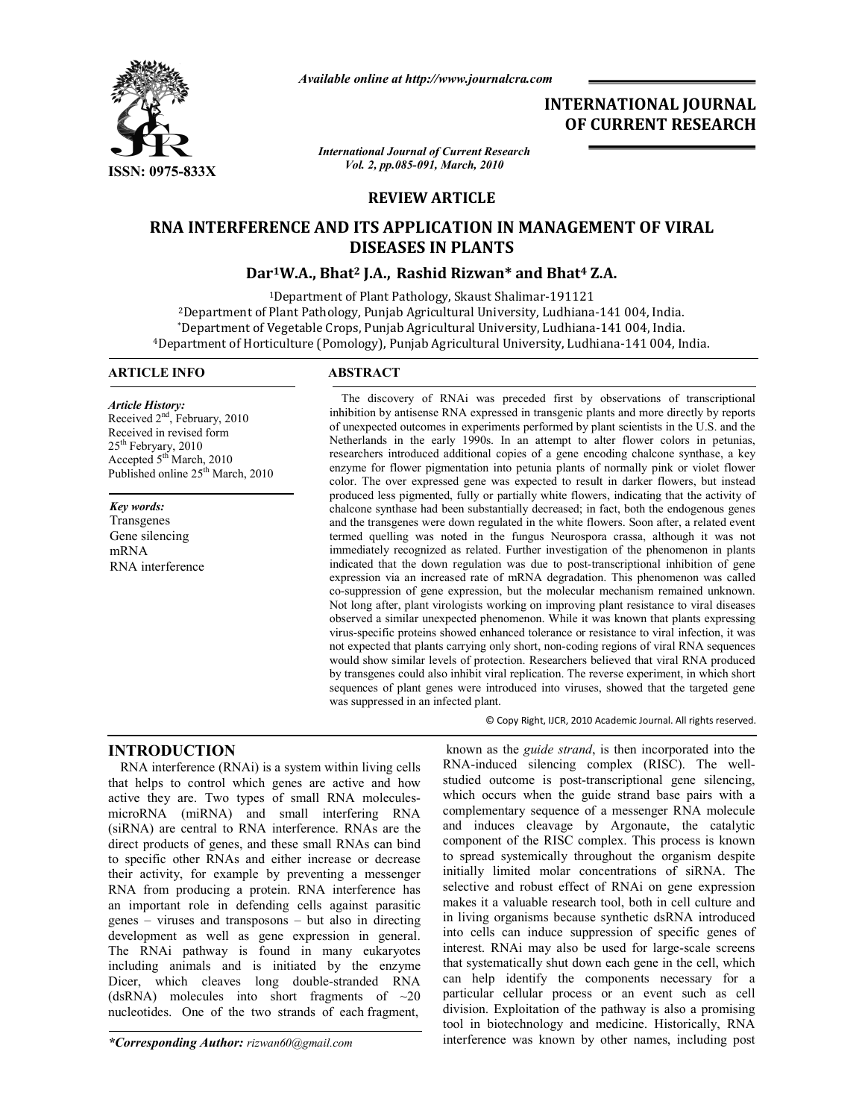

*Available online at http://www.journalcra.com*

# **INTERNATIONAL JOURNAL OF CURRENT RESEARCH**

*International Journal of Current Research Vol. 2, pp.085-091, March, 2010*

# **REVIEW ARTICLE**

# **RNA INTERFERENCE AND ITS APPLICATION IN MANAGEMENT OF VIRAL DISEASES IN PLANTS**

# **Dar1W.A., Bhat2 J.A., Rashid Rizwan\* and Bhat4 Z.A.**

1Department of Plant Pathology, Skaust Shalimar-191121 2Department of Plant Pathology, Punjab Agricultural University, Ludhiana-141 004, India. \*Department of Vegetable Crops, Punjab Agricultural University, Ludhiana-141 004, India. 4Department of Horticulture (Pomology), Punjab Agricultural University, Ludhiana-141 004, India.

## **ARTICLE INFO ABSTRACT**

*Article History:* Received  $2<sup>nd</sup>$ , February, 2010 Received in revised form 25th Febryary, 2010 Accepted 5th March, 2010 Published online 25<sup>th</sup> March, 2010

*Key words:*

Transgenes Gene silencing mRNA RNA interference

 The discovery of RNAi was preceded first by observations of transcriptional inhibition by antisense RNA expressed in transgenic plants and more directly by reports of unexpected outcomes in experiments performed by plant scientists in the U.S. and the Netherlands in the early 1990s. In an attempt to alter flower colors in petunias, researchers introduced additional copies of a gene encoding chalcone synthase, a key enzyme for flower pigmentation into petunia plants of normally pink or violet flower color. The over expressed gene was expected to result in darker flowers, but instead produced less pigmented, fully or partially white flowers, indicating that the activity of chalcone synthase had been substantially decreased; in fact, both the endogenous genes and the transgenes were down regulated in the white flowers. Soon after, a related event termed quelling was noted in the fungus Neurospora crassa, although it was not immediately recognized as related. Further investigation of the phenomenon in plants indicated that the down regulation was due to post-transcriptional inhibition of gene expression via an increased rate of mRNA degradation. This phenomenon was called co-suppression of gene expression, but the molecular mechanism remained unknown. Not long after, plant virologists working on improving plant resistance to viral diseases observed a similar unexpected phenomenon. While it was known that plants expressing virus-specific proteins showed enhanced tolerance or resistance to viral infection, it was not expected that plants carrying only short, non-coding regions of viral RNA sequences would show similar levels of protection. Researchers believed that viral RNA produced by transgenes could also inhibit viral replication. The reverse experiment, in which short sequences of plant genes were introduced into viruses, showed that the targeted gene was suppressed in an infected plant.

© Copy Right, IJCR, 2010 Academic Journal. All rights reserved.

# **INTRODUCTION**

RNA interference (RNAi) is a system within living cells that helps to control which genes are active and how active they are. Two types of small RNA moleculesmicroRNA (miRNA) and small interfering RNA (siRNA) are central to RNA interference. RNAs are the direct products of genes, and these small RNAs can bind to specific other RNAs and either increase or decrease their activity, for example by preventing a messenger RNA from producing a protein. RNA interference has an important role in defending cells against parasitic genes – viruses and transposons – but also in directing development as well as gene expression in general. The RNAi pathway is found in many eukaryotes including animals and is initiated by the enzyme Dicer, which cleaves long double-stranded RNA (dsRNA) molecules into short fragments of  $\sim 20$ nucleotides. One of the two strands of each fragment,

*\*Corresponding Author: rizwan60@gmail.com*

known as the *guide strand*, is then incorporated into the RNA-induced silencing complex (RISC). The wellstudied outcome is post-transcriptional gene silencing, which occurs when the guide strand base pairs with a complementary sequence of a messenger RNA molecule and induces cleavage by Argonaute, the catalytic component of the RISC complex. This process is known to spread systemically throughout the organism despite initially limited molar concentrations of siRNA. The selective and robust effect of RNAi on gene expression makes it a valuable research tool, both in cell culture and in living organisms because synthetic dsRNA introduced into cells can induce suppression of specific genes of interest. RNAi may also be used for large-scale screens that systematically shut down each gene in the cell, which can help identify the components necessary for a particular cellular process or an event such as cell division. Exploitation of the pathway is also a promising tool in biotechnology and medicine. Historically, RNA interference was known by other names, including post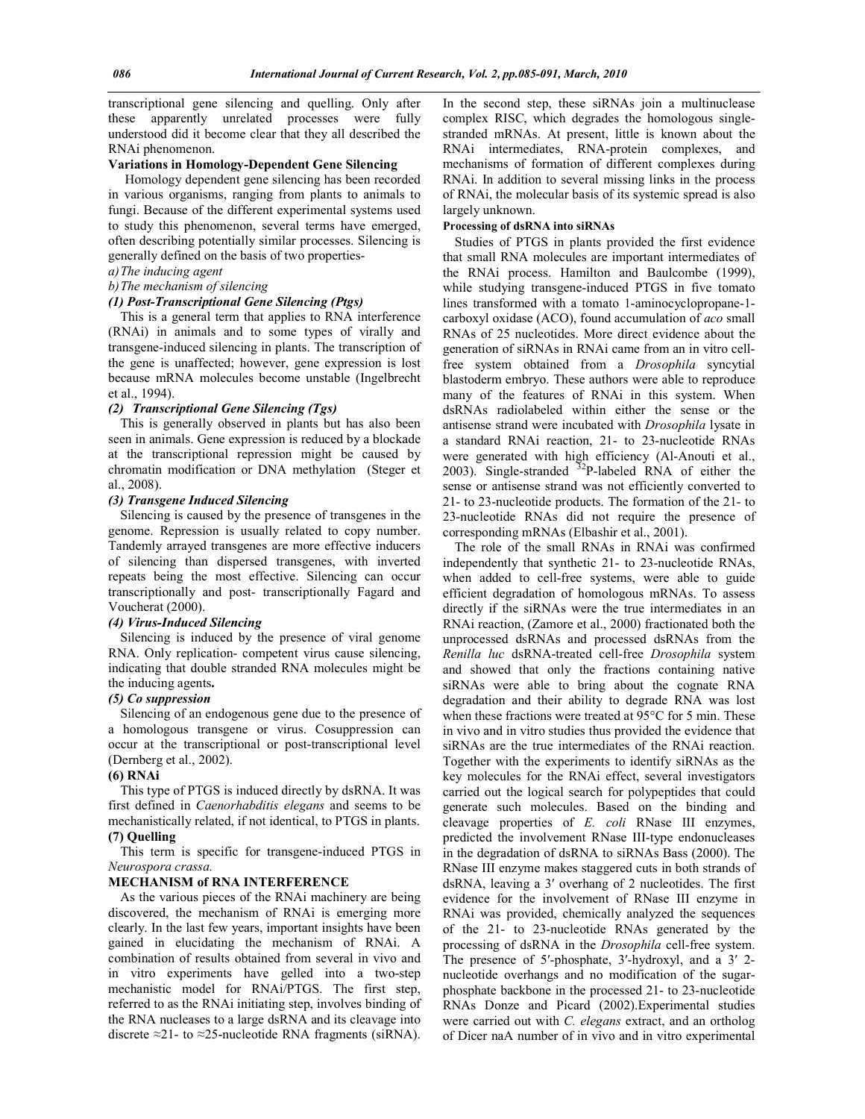transcriptional gene silencing and quelling. Only after these apparently unrelated processes were fully understood did it become clear that they all described the RNAi phenomenon.

#### **Variations in Homology-Dependent Gene Silencing**

 Homology dependent gene silencing has been recorded in various organisms, ranging from plants to animals to fungi. Because of the different experimental systems used to study this phenomenon, several terms have emerged, often describing potentially similar processes. Silencing is generally defined on the basis of two properties-

#### *a)The inducing agent*

#### *b)The mechanism of silencing*

#### *(1) Post-Transcriptional Gene Silencing (Ptgs)*

This is a general term that applies to RNA interference (RNAi) in animals and to some types of virally and transgene-induced silencing in plants. The transcription of the gene is unaffected; however, gene expression is lost because mRNA molecules become unstable (Ingelbrecht et al., 1994).

#### *(2) Transcriptional Gene Silencing (Tgs)*

This is generally observed in plants but has also been seen in animals. Gene expression is reduced by a blockade at the transcriptional repression might be caused by chromatin modification or DNA methylation (Steger et al., 2008).

# *(3) Transgene Induced Silencing*

Silencing is caused by the presence of transgenes in the genome. Repression is usually related to copy number. Tandemly arrayed transgenes are more effective inducers of silencing than dispersed transgenes, with inverted repeats being the most effective. Silencing can occur transcriptionally and post- transcriptionally Fagard and Voucherat (2000).

## *(4) Virus-Induced Silencing*

Silencing is induced by the presence of viral genome RNA. Only replication- competent virus cause silencing, indicating that double stranded RNA molecules might be the inducing agents**.**

#### *(5) Co suppression*

Silencing of an endogenous gene due to the presence of a homologous transgene or virus. Cosuppression can occur at the transcriptional or post-transcriptional level (Dernberg et al., 2002).

#### **(6) RNAi**

This type of PTGS is induced directly by dsRNA. It was first defined in *Caenorhabditis elegans* and seems to be mechanistically related, if not identical, to PTGS in plants. **(7) Quelling**

This term is specific for transgene-induced PTGS in *Neurospora crassa.*

#### **MECHANISM of RNA INTERFERENCE**

As the various pieces of the RNAi machinery are being discovered, the mechanism of RNAi is emerging more clearly. In the last few years, important insights have been gained in elucidating the mechanism of RNAi. A combination of results obtained from several in vivo and in vitro experiments have gelled into a two-step mechanistic model for RNAi/PTGS. The first step, referred to as the RNAi initiating step, involves binding of the RNA nucleases to a large dsRNA and its cleavage into discrete ≈21- to ≈25-nucleotide RNA fragments (siRNA).

In the second step, these siRNAs join a multinuclease complex RISC, which degrades the homologous singlestranded mRNAs. At present, little is known about the RNAi intermediates, RNA-protein complexes, and mechanisms of formation of different complexes during RNAi. In addition to several missing links in the process of RNAi, the molecular basis of its systemic spread is also largely unknown.

#### **Processing of dsRNA into siRNAs**

Studies of PTGS in plants provided the first evidence that small RNA molecules are important intermediates of the RNAi process. Hamilton and Baulcombe (1999), while studying transgene-induced PTGS in five tomato lines transformed with a tomato 1-aminocyclopropane-1 carboxyl oxidase (ACO), found accumulation of *aco* small RNAs of 25 nucleotides. More direct evidence about the generation of siRNAs in RNAi came from an in vitro cellfree system obtained from a *Drosophila* syncytial blastoderm embryo. These authors were able to reproduce many of the features of RNAi in this system. When dsRNAs radiolabeled within either the sense or the antisense strand were incubated with *Drosophila* lysate in a standard RNAi reaction, 21- to 23-nucleotide RNAs were generated with high efficiency (Al-Anouti et al., 2003). Single-stranded  $32P$ -labeled RNA of either the sense or antisense strand was not efficiently converted to 21- to 23-nucleotide products. The formation of the 21- to 23-nucleotide RNAs did not require the presence of corresponding mRNAs (Elbashir et al., 2001).

The role of the small RNAs in RNAi was confirmed independently that synthetic 21- to 23-nucleotide RNAs, when added to cell-free systems, were able to guide efficient degradation of homologous mRNAs. To assess directly if the siRNAs were the true intermediates in an RNAi reaction, (Zamore et al., 2000) fractionated both the unprocessed dsRNAs and processed dsRNAs from the *Renilla luc* dsRNA-treated cell-free *Drosophila* system and showed that only the fractions containing native siRNAs were able to bring about the cognate RNA degradation and their ability to degrade RNA was lost when these fractions were treated at 95°C for 5 min. These in vivo and in vitro studies thus provided the evidence that siRNAs are the true intermediates of the RNAi reaction. Together with the experiments to identify siRNAs as the key molecules for the RNAi effect, several investigators carried out the logical search for polypeptides that could generate such molecules. Based on the binding and cleavage properties of *E. coli* RNase III enzymes, predicted the involvement RNase III-type endonucleases in the degradation of dsRNA to siRNAs Bass (2000). The RNase III enzyme makes staggered cuts in both strands of dsRNA, leaving a 3′ overhang of 2 nucleotides. The first evidence for the involvement of RNase III enzyme in RNAi was provided, chemically analyzed the sequences of the 21- to 23-nucleotide RNAs generated by the processing of dsRNA in the *Drosophila* cell-free system. The presence of 5′-phosphate, 3′-hydroxyl, and a 3′ 2 nucleotide overhangs and no modification of the sugarphosphate backbone in the processed 21- to 23-nucleotide RNAs Donze and Picard (2002).Experimental studies were carried out with *C. elegans* extract, and an ortholog of Dicer naA number of in vivo and in vitro experimental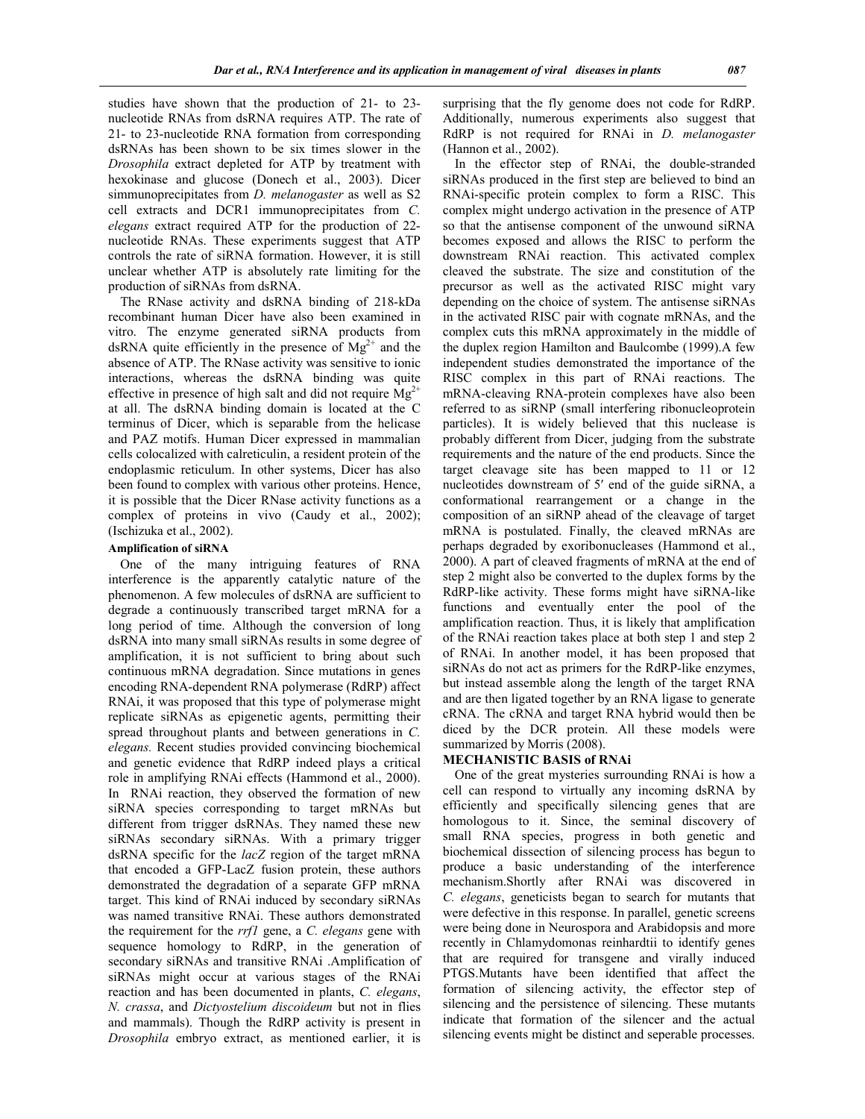studies have shown that the production of 21- to 23 nucleotide RNAs from dsRNA requires ATP. The rate of 21- to 23-nucleotide RNA formation from corresponding dsRNAs has been shown to be six times slower in the *Drosophila* extract depleted for ATP by treatment with hexokinase and glucose (Donech et al., 2003). Dicer simmunoprecipitates from *D. melanogaster* as well as S2 cell extracts and DCR1 immunoprecipitates from *C. elegans* extract required ATP for the production of 22 nucleotide RNAs. These experiments suggest that ATP controls the rate of siRNA formation. However, it is still unclear whether ATP is absolutely rate limiting for the production of siRNAs from dsRNA.

The RNase activity and dsRNA binding of 218-kDa recombinant human Dicer have also been examined in vitro. The enzyme generated siRNA products from dsRNA quite efficiently in the presence of  $Mg^{2+}$  and the absence of ATP. The RNase activity was sensitive to ionic interactions, whereas the dsRNA binding was quite effective in presence of high salt and did not require  $Mg^{2+}$ at all. The dsRNA binding domain is located at the C terminus of Dicer, which is separable from the helicase and PAZ motifs. Human Dicer expressed in mammalian cells colocalized with calreticulin, a resident protein of the endoplasmic reticulum. In other systems, Dicer has also been found to complex with various other proteins. Hence, it is possible that the Dicer RNase activity functions as a complex of proteins in vivo (Caudy et al., 2002); (Ischizuka et al., 2002).

#### **Amplification of siRNA**

One of the many intriguing features of RNA interference is the apparently catalytic nature of the phenomenon. A few molecules of dsRNA are sufficient to degrade a continuously transcribed target mRNA for a long period of time. Although the conversion of long dsRNA into many small siRNAs results in some degree of amplification, it is not sufficient to bring about such continuous mRNA degradation. Since mutations in genes encoding RNA-dependent RNA polymerase (RdRP) affect RNAi, it was proposed that this type of polymerase might replicate siRNAs as epigenetic agents, permitting their spread throughout plants and between generations in *C. elegans.* Recent studies provided convincing biochemical and genetic evidence that RdRP indeed plays a critical role in amplifying RNAi effects (Hammond et al., 2000). In RNAi reaction, they observed the formation of new siRNA species corresponding to target mRNAs but different from trigger dsRNAs. They named these new siRNAs secondary siRNAs. With a primary trigger dsRNA specific for the *lacZ* region of the target mRNA that encoded a GFP-LacZ fusion protein, these authors demonstrated the degradation of a separate GFP mRNA target. This kind of RNAi induced by secondary siRNAs was named transitive RNAi. These authors demonstrated the requirement for the *rrf1* gene, a *C. elegans* gene with sequence homology to RdRP, in the generation of secondary siRNAs and transitive RNAi .Amplification of siRNAs might occur at various stages of the RNAi reaction and has been documented in plants, *C. elegans*, *N. crassa*, and *Dictyostelium discoideum* but not in flies and mammals). Though the RdRP activity is present in *Drosophila* embryo extract, as mentioned earlier, it is

surprising that the fly genome does not code for RdRP. Additionally, numerous experiments also suggest that RdRP is not required for RNAi in *D. melanogaster* (Hannon et al., 2002).

In the effector step of RNAi, the double-stranded siRNAs produced in the first step are believed to bind an RNAi-specific protein complex to form a RISC. This complex might undergo activation in the presence of ATP so that the antisense component of the unwound siRNA becomes exposed and allows the RISC to perform the downstream RNAi reaction. This activated complex cleaved the substrate. The size and constitution of the precursor as well as the activated RISC might vary depending on the choice of system. The antisense siRNAs in the activated RISC pair with cognate mRNAs, and the complex cuts this mRNA approximately in the middle of the duplex region Hamilton and Baulcombe (1999).A few independent studies demonstrated the importance of the RISC complex in this part of RNAi reactions. The mRNA-cleaving RNA-protein complexes have also been referred to as siRNP (small interfering ribonucleoprotein particles). It is widely believed that this nuclease is probably different from Dicer, judging from the substrate requirements and the nature of the end products. Since the target cleavage site has been mapped to 11 or 12 nucleotides downstream of 5′ end of the guide siRNA, a conformational rearrangement or a change in the composition of an siRNP ahead of the cleavage of target mRNA is postulated. Finally, the cleaved mRNAs are perhaps degraded by exoribonucleases (Hammond et al., 2000). A part of cleaved fragments of mRNA at the end of step 2 might also be converted to the duplex forms by the RdRP-like activity. These forms might have siRNA-like functions and eventually enter the pool of the amplification reaction. Thus, it is likely that amplification of the RNAi reaction takes place at both step 1 and step 2 of RNAi. In another model, it has been proposed that siRNAs do not act as primers for the RdRP-like enzymes, but instead assemble along the length of the target RNA and are then ligated together by an RNA ligase to generate cRNA. The cRNA and target RNA hybrid would then be diced by the DCR protein. All these models were summarized by Morris (2008).

#### **MECHANISTIC BASIS of RNAi**

One of the great mysteries surrounding RNAi is how a cell can respond to virtually any incoming dsRNA by efficiently and specifically silencing genes that are homologous to it. Since, the seminal discovery of small RNA species, progress in both genetic and biochemical dissection of silencing process has begun to produce a basic understanding of the interference mechanism.Shortly after RNAi was discovered in *C. elegans*, geneticists began to search for mutants that were defective in this response. In parallel, genetic screens were being done in Neurospora and Arabidopsis and more recently in Chlamydomonas reinhardtii to identify genes that are required for transgene and virally induced PTGS.Mutants have been identified that affect the formation of silencing activity, the effector step of silencing and the persistence of silencing. These mutants indicate that formation of the silencer and the actual silencing events might be distinct and seperable processes.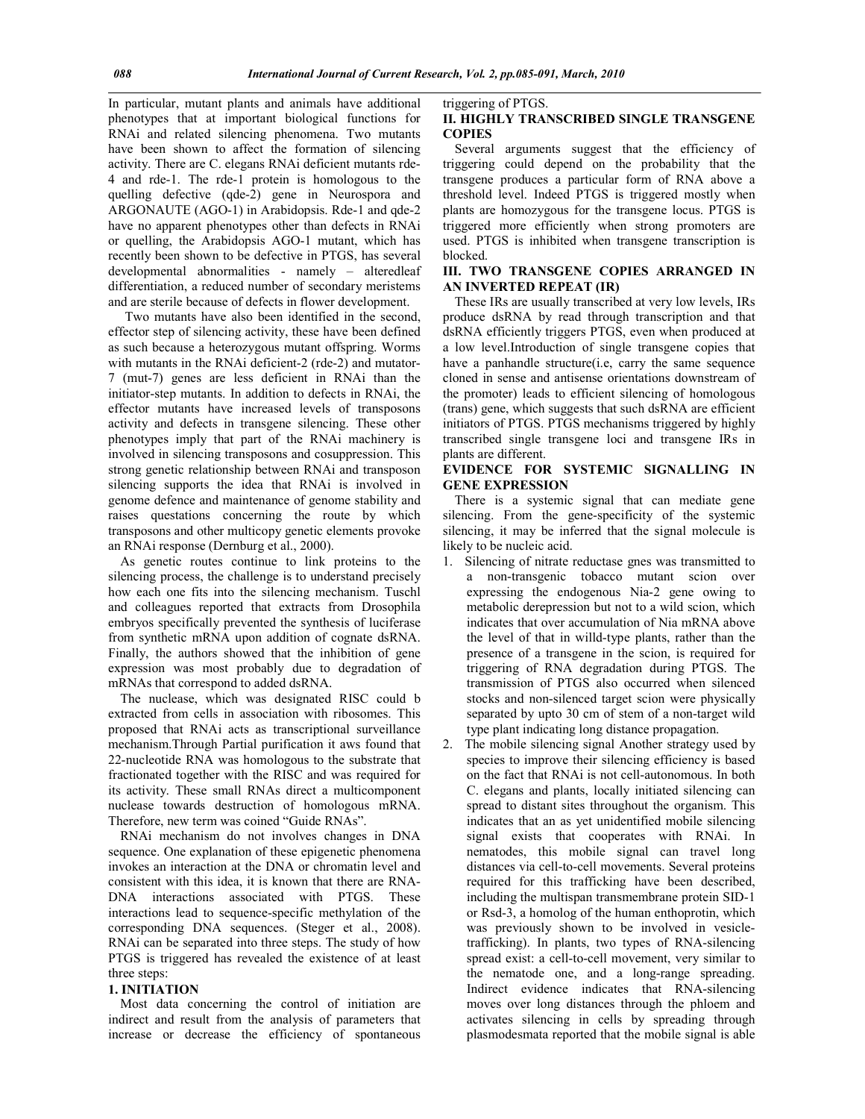In particular, mutant plants and animals have additional phenotypes that at important biological functions for RNAi and related silencing phenomena. Two mutants have been shown to affect the formation of silencing activity. There are C. elegans RNAi deficient mutants rde-4 and rde-1. The rde-1 protein is homologous to the quelling defective (qde-2) gene in Neurospora and ARGONAUTE (AGO-1) in Arabidopsis. Rde-1 and qde-2 have no apparent phenotypes other than defects in RNAi or quelling, the Arabidopsis AGO-1 mutant, which has recently been shown to be defective in PTGS, has several developmental abnormalities - namely – alteredleaf differentiation, a reduced number of secondary meristems and are sterile because of defects in flower development.

 Two mutants have also been identified in the second, effector step of silencing activity, these have been defined as such because a heterozygous mutant offspring. Worms with mutants in the RNAi deficient-2 (rde-2) and mutator-7 (mut-7) genes are less deficient in RNAi than the initiator-step mutants. In addition to defects in RNAi, the effector mutants have increased levels of transposons activity and defects in transgene silencing. These other phenotypes imply that part of the RNAi machinery is involved in silencing transposons and cosuppression. This strong genetic relationship between RNAi and transposon silencing supports the idea that RNAi is involved in genome defence and maintenance of genome stability and raises questations concerning the route by which transposons and other multicopy genetic elements provoke an RNAi response (Dernburg et al., 2000).

As genetic routes continue to link proteins to the silencing process, the challenge is to understand precisely how each one fits into the silencing mechanism. Tuschl and colleagues reported that extracts from Drosophila embryos specifically prevented the synthesis of luciferase from synthetic mRNA upon addition of cognate dsRNA. Finally, the authors showed that the inhibition of gene expression was most probably due to degradation of mRNAs that correspond to added dsRNA.

The nuclease, which was designated RISC could b extracted from cells in association with ribosomes. This proposed that RNAi acts as transcriptional surveillance mechanism.Through Partial purification it aws found that 22-nucleotide RNA was homologous to the substrate that fractionated together with the RISC and was required for its activity. These small RNAs direct a multicomponent nuclease towards destruction of homologous mRNA. Therefore, new term was coined "Guide RNAs".

RNAi mechanism do not involves changes in DNA sequence. One explanation of these epigenetic phenomena invokes an interaction at the DNA or chromatin level and consistent with this idea, it is known that there are RNA-DNA interactions associated with PTGS. These interactions lead to sequence-specific methylation of the corresponding DNA sequences. (Steger et al., 2008). RNAi can be separated into three steps. The study of how PTGS is triggered has revealed the existence of at least three steps:

#### **1. INITIATION**

Most data concerning the control of initiation are indirect and result from the analysis of parameters that increase or decrease the efficiency of spontaneous triggering of PTGS.

#### **II. HIGHLY TRANSCRIBED SINGLE TRANSGENE COPIES**

Several arguments suggest that the efficiency of triggering could depend on the probability that the transgene produces a particular form of RNA above a threshold level. Indeed PTGS is triggered mostly when plants are homozygous for the transgene locus. PTGS is triggered more efficiently when strong promoters are used. PTGS is inhibited when transgene transcription is blocked.

### **III. TWO TRANSGENE COPIES ARRANGED IN AN INVERTED REPEAT (IR)**

These IRs are usually transcribed at very low levels, IRs produce dsRNA by read through transcription and that dsRNA efficiently triggers PTGS, even when produced at a low level.Introduction of single transgene copies that have a panhandle structure(i.e, carry the same sequence cloned in sense and antisense orientations downstream of the promoter) leads to efficient silencing of homologous (trans) gene, which suggests that such dsRNA are efficient initiators of PTGS. PTGS mechanisms triggered by highly transcribed single transgene loci and transgene IRs in plants are different.

#### **EVIDENCE FOR SYSTEMIC SIGNALLING IN GENE EXPRESSION**

There is a systemic signal that can mediate gene silencing. From the gene-specificity of the systemic silencing, it may be inferred that the signal molecule is likely to be nucleic acid.

1. Silencing of nitrate reductase gnes was transmitted to a non-transgenic tobacco mutant scion over expressing the endogenous Nia-2 gene owing to metabolic derepression but not to a wild scion, which indicates that over accumulation of Nia mRNA above the level of that in willd-type plants, rather than the presence of a transgene in the scion, is required for triggering of RNA degradation during PTGS. The transmission of PTGS also occurred when silenced stocks and non-silenced target scion were physically separated by upto 30 cm of stem of a non-target wild type plant indicating long distance propagation.

2. The mobile silencing signal Another strategy used by species to improve their silencing efficiency is based on the fact that RNAi is not cell-autonomous. In both C. elegans and plants, locally initiated silencing can spread to distant sites throughout the organism. This indicates that an as yet unidentified mobile silencing signal exists that cooperates with RNAi. In nematodes, this mobile signal can travel long distances via cell-to-cell movements. Several proteins required for this trafficking have been described, including the multispan transmembrane protein SID-1 or Rsd-3, a homolog of the human enthoprotin, which was previously shown to be involved in vesicletrafficking). In plants, two types of RNA-silencing spread exist: a cell-to-cell movement, very similar to the nematode one, and a long-range spreading. Indirect evidence indicates that RNA-silencing moves over long distances through the phloem and activates silencing in cells by spreading through plasmodesmata reported that the mobile signal is able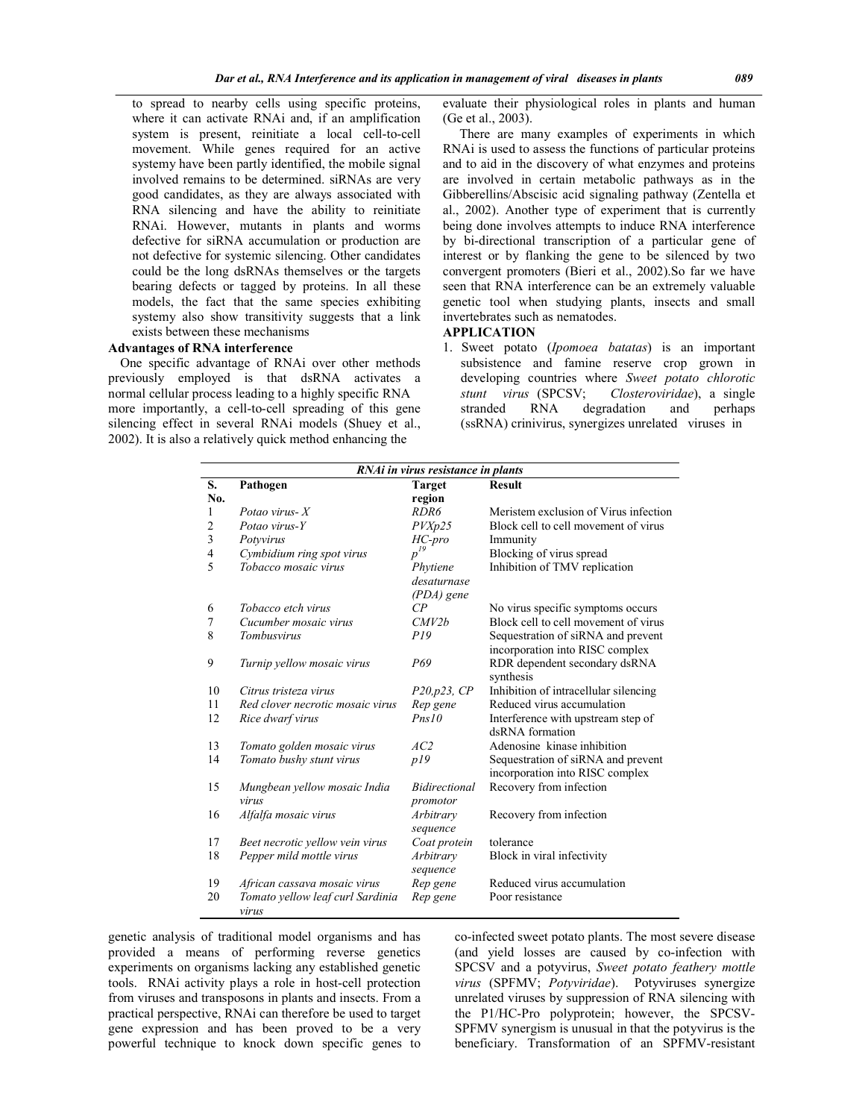to spread to nearby cells using specific proteins, where it can activate RNAi and, if an amplification system is present, reinitiate a local cell-to-cell movement. While genes required for an active systemy have been partly identified, the mobile signal involved remains to be determined. siRNAs are very good candidates, as they are always associated with RNA silencing and have the ability to reinitiate RNAi. However, mutants in plants and worms defective for siRNA accumulation or production are not defective for systemic silencing. Other candidates could be the long dsRNAs themselves or the targets bearing defects or tagged by proteins. In all these models, the fact that the same species exhibiting systemy also show transitivity suggests that a link exists between these mechanisms

### **Advantages of RNA interference**

One specific advantage of RNAi over other methods previously employed is that dsRNA activates a normal cellular process leading to a highly specific RNA more importantly, a cell-to-cell spreading of this gene silencing effect in several RNAi models (Shuey et al., 2002). It is also a relatively quick method enhancing the

evaluate their physiological roles in plants and human (Ge et al., 2003).

 There are many examples of experiments in which RNAi is used to assess the functions of particular proteins and to aid in the discovery of what enzymes and proteins are involved in certain metabolic pathways as in the Gibberellins/Abscisic acid signaling pathway (Zentella et al., 2002). Another type of experiment that is currently being done involves attempts to induce RNA interference by bi-directional transcription of a particular gene of interest or by flanking the gene to be silenced by two convergent promoters (Bieri et al., 2002).So far we have seen that RNA interference can be an extremely valuable genetic tool when studying plants, insects and small invertebrates such as nematodes.

#### **APPLICATION**

1. Sweet potato (*Ipomoea batatas*) is an important subsistence and famine reserve crop grown in developing countries where *Sweet potato chlorotic stunt virus* (SPCSV; *Closteroviridae*), a single stranded RNA degradation and perhaps (ssRNA) crinivirus, synergizes unrelated viruses in

| RNAi in virus resistance in plants |                                           |                                       |                                                                       |
|------------------------------------|-------------------------------------------|---------------------------------------|-----------------------------------------------------------------------|
| S.                                 | Pathogen                                  | <b>Target</b>                         | <b>Result</b>                                                         |
| No.                                |                                           | region                                |                                                                       |
| 1                                  | Potao virus- $X$                          | RDR6                                  | Meristem exclusion of Virus infection                                 |
| $\overline{c}$                     | Potao virus-Y                             | PVXp25                                | Block cell to cell movement of virus                                  |
| 3                                  | Potyvirus                                 | HC-pro                                | Immunity                                                              |
| 4                                  | Cymbidium ring spot virus                 | $p^{19}$                              | Blocking of virus spread                                              |
| 5                                  | Tobacco mosaic virus                      | Phytiene<br>desaturnase<br>(PDA) gene | Inhibition of TMV replication                                         |
| 6                                  | Tobacco etch virus                        | $\overline{CP}$                       | No virus specific symptoms occurs                                     |
| 7                                  | Cucumber mosaic virus                     | CMV2h                                 | Block cell to cell movement of virus                                  |
| 8                                  | <b>Tombusvirus</b>                        | P19                                   | Sequestration of siRNA and prevent<br>incorporation into RISC complex |
| 9                                  | Turnip yellow mosaic virus                | P69                                   | RDR dependent secondary dsRNA<br>synthesis                            |
| 10                                 | Citrus tristeza virus                     | P20, p23, CP                          | Inhibition of intracellular silencing                                 |
| 11                                 | Red clover necrotic mosaic virus          | Rep gene                              | Reduced virus accumulation                                            |
| 12                                 | Rice dwarf virus                          | Pns10                                 | Interference with upstream step of<br>dsRNA formation                 |
| 13                                 | Tomato golden mosaic virus                | AC2                                   | Adenosine kinase inhibition                                           |
| 14                                 | Tomato bushy stunt virus                  | p19                                   | Sequestration of siRNA and prevent<br>incorporation into RISC complex |
| 15                                 | Mungbean yellow mosaic India<br>virus     | <i>Bidirectional</i><br>promotor      | Recovery from infection                                               |
| 16                                 | Alfalfa mosaic virus                      | Arbitrary<br>sequence                 | Recovery from infection                                               |
| 17                                 | Beet necrotic yellow vein virus           | Coat protein                          | tolerance                                                             |
| 18                                 | Pepper mild mottle virus                  | Arbitrary<br>sequence                 | Block in viral infectivity                                            |
| 19                                 | African cassava mosaic virus              | Rep gene                              | Reduced virus accumulation                                            |
| 20                                 | Tomato yellow leaf curl Sardinia<br>virus | Rep gene                              | Poor resistance                                                       |

genetic analysis of traditional model organisms and has provided a means of performing reverse genetics experiments on organisms lacking any established genetic tools. RNAi activity plays a role in host-cell protection from viruses and transposons in plants and insects. From a practical perspective, RNAi can therefore be used to target gene expression and has been proved to be a very powerful technique to knock down specific genes to co-infected sweet potato plants. The most severe disease (and yield losses are caused by co-infection with SPCSV and a potyvirus, *Sweet potato feathery mottle virus* (SPFMV; *Potyviridae*). Potyviruses synergize unrelated viruses by suppression of RNA silencing with the P1/HC-Pro polyprotein; however, the SPCSV-SPFMV synergism is unusual in that the potyvirus is the beneficiary. Transformation of an SPFMV-resistant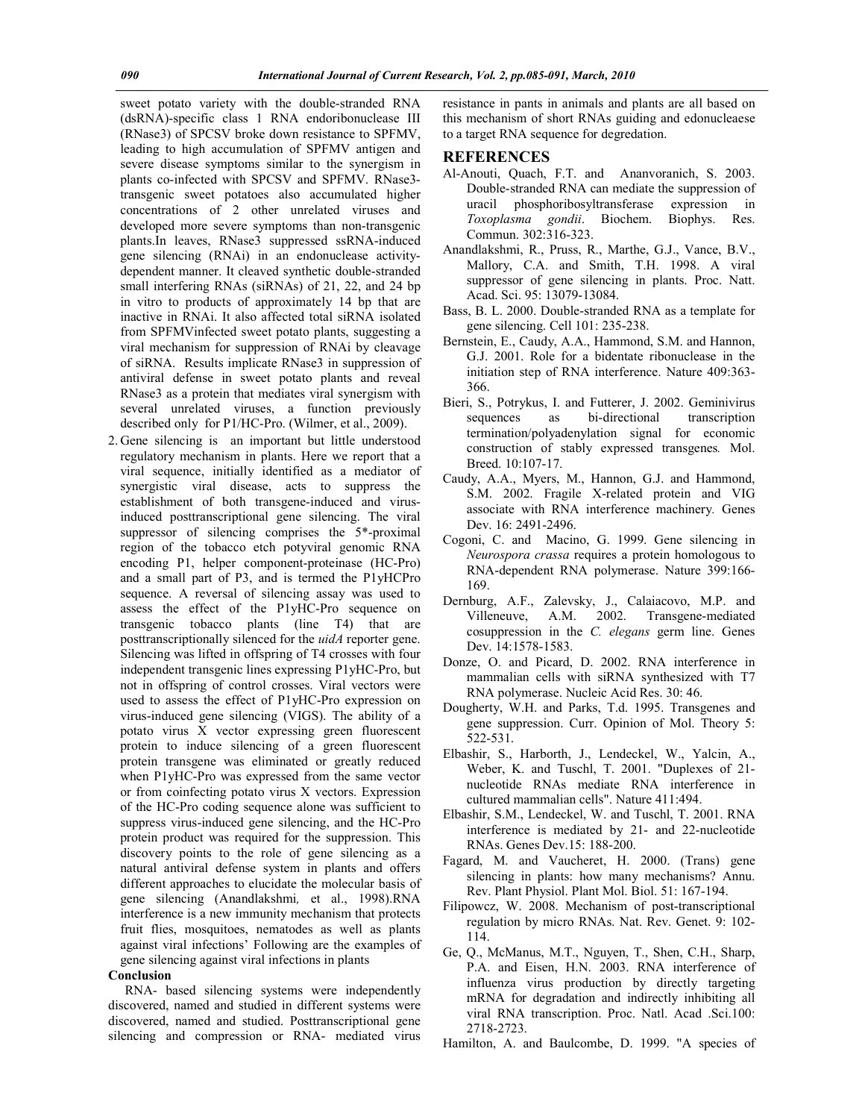sweet potato variety with the double-stranded RNA (dsRNA)-specific class 1 RNA endoribonuclease III (RNase3) of SPCSV broke down resistance to SPFMV, leading to high accumulation of SPFMV antigen and severe disease symptoms similar to the synergism in plants co-infected with SPCSV and SPFMV. RNase3 transgenic sweet potatoes also accumulated higher concentrations of 2 other unrelated viruses and developed more severe symptoms than non-transgenic plants.In leaves, RNase3 suppressed ssRNA-induced gene silencing (RNAi) in an endonuclease activitydependent manner. It cleaved synthetic double-stranded small interfering RNAs (siRNAs) of 21, 22, and 24 bp in vitro to products of approximately 14 bp that are inactive in RNAi. It also affected total siRNA isolated from SPFMVinfected sweet potato plants, suggesting a viral mechanism for suppression of RNAi by cleavage of siRNA. Results implicate RNase3 in suppression of antiviral defense in sweet potato plants and reveal RNase3 as a protein that mediates viral synergism with several unrelated viruses, a function previously described only for P1/HC-Pro. (Wilmer, et al., 2009).

2. Gene silencing is an important but little understood regulatory mechanism in plants. Here we report that a viral sequence, initially identified as a mediator of synergistic viral disease, acts to suppress the establishment of both transgene-induced and virusinduced posttranscriptional gene silencing. The viral suppressor of silencing comprises the 5\*-proximal region of the tobacco etch potyviral genomic RNA encoding P1, helper component-proteinase (HC-Pro) and a small part of P3, and is termed the P1yHCPro sequence. A reversal of silencing assay was used to assess the effect of the P1yHC-Pro sequence on transgenic tobacco plants (line T4) that are posttranscriptionally silenced for the *uidA* reporter gene. Silencing was lifted in offspring of T4 crosses with four independent transgenic lines expressing P1yHC-Pro, but not in offspring of control crosses. Viral vectors were used to assess the effect of P1yHC-Pro expression on virus-induced gene silencing (VIGS). The ability of a potato virus X vector expressing green fluorescent protein to induce silencing of a green fluorescent protein transgene was eliminated or greatly reduced when P1yHC-Pro was expressed from the same vector or from coinfecting potato virus X vectors. Expression of the HC-Pro coding sequence alone was sufficient to suppress virus-induced gene silencing, and the HC-Pro protein product was required for the suppression. This discovery points to the role of gene silencing as a natural antiviral defense system in plants and offers different approaches to elucidate the molecular basis of gene silencing (Anandlakshmi*,* et al., 1998).RNA interference is a new immunity mechanism that protects fruit flies, mosquitoes, nematodes as well as plants against viral infections' Following are the examples of gene silencing against viral infections in plants

#### **Conclusion**

 RNA- based silencing systems were independently discovered, named and studied in different systems were discovered, named and studied. Posttranscriptional gene silencing and compression or RNA- mediated virus

resistance in pants in animals and plants are all based on this mechanism of short RNAs guiding and edonucleaese to a target RNA sequence for degredation.

#### **REFERENCES**

- Al-Anouti, Quach, F.T. and Ananvoranich, S. 2003. Double-stranded RNA can mediate the suppression of uracil phosphoribosyltransferase expression in *Toxoplasma gondii*. Biochem. Biophys. Res. Commun. 302:316-323.
- Anandlakshmi, R., Pruss, R., Marthe, G.J., Vance, B.V., Mallory, C.A. and Smith, T.H. 1998. A viral suppressor of gene silencing in plants. Proc. Natt. Acad. Sci. 95: 13079-13084.
- Bass, B. L. 2000. Double-stranded RNA as a template for gene silencing. Cell 101: 235-238.
- Bernstein, E., Caudy, A.A., Hammond, S.M. and Hannon, G.J. 2001. Role for a bidentate ribonuclease in the initiation step of RNA interference. Nature 409:363- 366.
- Bieri, S., Potrykus, I. and Futterer, J. 2002. Geminivirus sequences as bi-directional transcription termination/polyadenylation signal for economic construction of stably expressed transgenes*.* Mol. Breed. 10:107-17.
- Caudy, A.A., Myers, M., Hannon, G.J. and Hammond, S.M. 2002. Fragile X-related protein and VIG associate with RNA interference machinery*.* Genes Dev. 16: 2491-2496.
- Cogoni, C. and Macino, G. 1999. Gene silencing in *Neurospora crassa* requires a protein homologous to RNA-dependent RNA polymerase. Nature 399:166- 169.
- Dernburg, A.F., Zalevsky, J., Calaiacovo, M.P. and Villeneuve, A.M. 2002. Transgene-mediated cosuppression in the *C. elegans* germ line. Genes Dev. 14:1578-1583.
- Donze, O. and Picard, D. 2002. RNA interference in mammalian cells with siRNA synthesized with T7 RNA polymerase. Nucleic Acid Res. 30: 46.
- Dougherty, W.H. and Parks, T.d. 1995. Transgenes and gene suppression. Curr. Opinion of Mol. Theory 5: 522-531.
- Elbashir, S., Harborth, J., Lendeckel, W., Yalcin, A., Weber, K. and Tuschl, T. 2001. "Duplexes of 21 nucleotide RNAs mediate RNA interference in cultured mammalian cells". Nature 411:494.
- Elbashir, S.M., Lendeckel, W. and Tuschl, T. 2001. RNA interference is mediated by 21- and 22-nucleotide RNAs. Genes Dev.15: 188-200.
- Fagard, M. and Vaucheret, H. 2000. (Trans) gene silencing in plants: how many mechanisms? Annu. Rev. Plant Physiol. Plant Mol. Biol. 51: 167-194.
- Filipowcz, W. 2008. Mechanism of post-transcriptional regulation by micro RNAs. Nat. Rev. Genet. 9: 102- 114.
- Ge, Q., McManus, M.T., Nguyen, T., Shen, C.H., Sharp, P.A. and Eisen, H.N. 2003. RNA interference of influenza virus production by directly targeting mRNA for degradation and indirectly inhibiting all viral RNA transcription. Proc. Natl. Acad .Sci.100: 2718-2723.
- Hamilton, A. and Baulcombe, D. 1999. "A species of